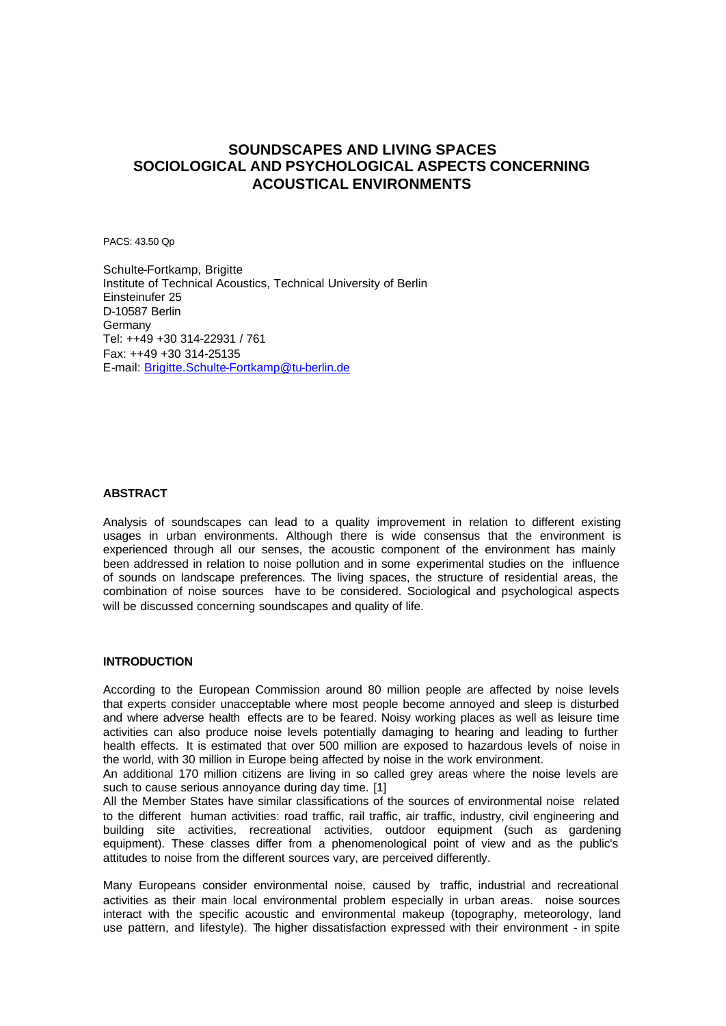# **SOUNDSCAPES AND LIVING SPACES SOCIOLOGICAL AND PSYCHOLOGICAL ASPECTS CONCERNING ACOUSTICAL ENVIRONMENTS**

PACS: 43.50 Qp

Schulte-Fortkamp, Brigitte Institute of Technical Acoustics, Technical University of Berlin Einsteinufer 25 D-10587 Berlin **Germany** Tel: ++49 +30 314-22931 / 761 Fax: ++49 +30 314-25135 E-mail: Brigitte.Schulte-Fortkamp@tu-berlin.de

## **ABSTRACT**

Analysis of soundscapes can lead to a quality improvement in relation to different existing usages in urban environments. Although there is wide consensus that the environment is experienced through all our senses, the acoustic component of the environment has mainly been addressed in relation to noise pollution and in some experimental studies on the influence of sounds on landscape preferences. The living spaces, the structure of residential areas, the combination of noise sources have to be considered. Sociological and psychological aspects will be discussed concerning soundscapes and quality of life.

## **INTRODUCTION**

According to the European Commission around 80 million people are affected by noise levels that experts consider unacceptable where most people become annoyed and sleep is disturbed and where adverse health effects are to be feared. Noisy working places as well as leisure time activities can also produce noise levels potentially damaging to hearing and leading to further health effects. It is estimated that over 500 million are exposed to hazardous levels of noise in the world, with 30 million in Europe being affected by noise in the work environment.

An additional 170 million citizens are living in so called grey areas where the noise levels are such to cause serious annoyance during day time. [1]

All the Member States have similar classifications of the sources of environmental noise related to the different human activities: road traffic, rail traffic, air traffic, industry, civil engineering and building site activities, recreational activities, outdoor equipment (such as gardening equipment). These classes differ from a phenomenological point of view and as the public's attitudes to noise from the different sources vary, are perceived differently.

Many Europeans consider environmental noise, caused by traffic, industrial and recreational activities as their main local environmental problem especially in urban areas. noise sources interact with the specific acoustic and environmental makeup (topography, meteorology, land use pattern, and lifestyle). The higher dissatisfaction expressed with their environment - in spite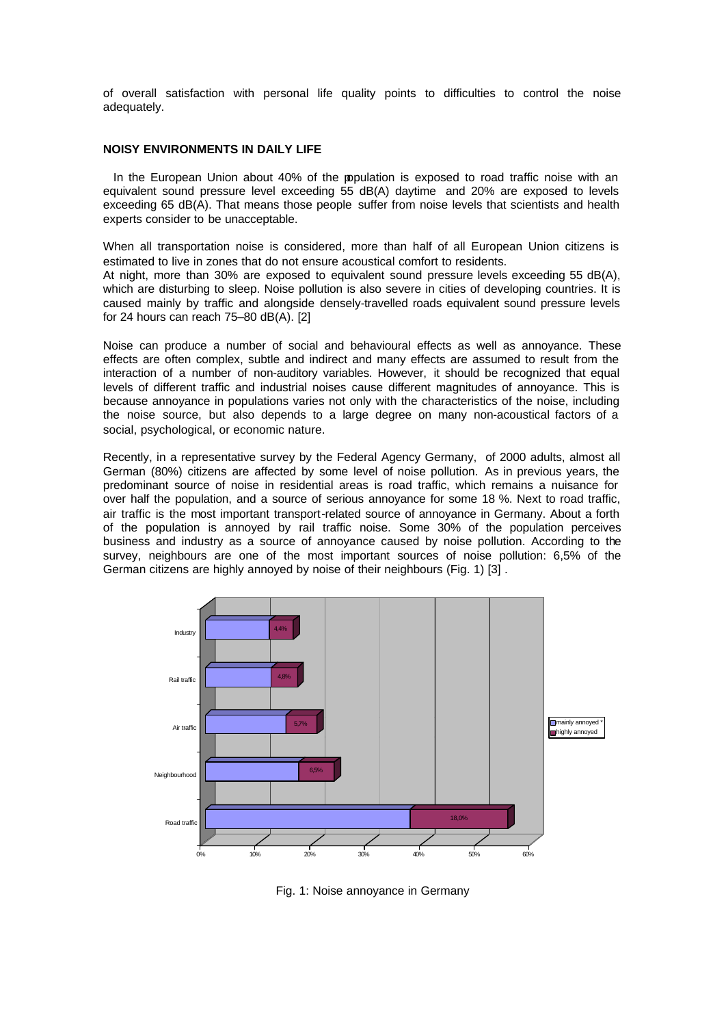of overall satisfaction with personal life quality points to difficulties to control the noise adequately.

#### **NOISY ENVIRONMENTS IN DAILY LIFE**

In the European Union about 40% of the population is exposed to road traffic noise with an equivalent sound pressure level exceeding 55 dB(A) daytime and 20% are exposed to levels exceeding 65 dB(A). That means those people suffer from noise levels that scientists and health experts consider to be unacceptable.

When all transportation noise is considered, more than half of all European Union citizens is estimated to live in zones that do not ensure acoustical comfort to residents.

At night, more than 30% are exposed to equivalent sound pressure levels exceeding 55 dB(A), which are disturbing to sleep. Noise pollution is also severe in cities of developing countries. It is caused mainly by traffic and alongside densely-travelled roads equivalent sound pressure levels for 24 hours can reach 75–80 dB(A). [2]

Noise can produce a number of social and behavioural effects as well as annoyance. These effects are often complex, subtle and indirect and many effects are assumed to result from the interaction of a number of non-auditory variables. However, it should be recognized that equal levels of different traffic and industrial noises cause different magnitudes of annoyance. This is because annoyance in populations varies not only with the characteristics of the noise, including the noise source, but also depends to a large degree on many non-acoustical factors of a social, psychological, or economic nature.

Recently, in a representative survey by the Federal Agency Germany, of 2000 adults, almost all German (80%) citizens are affected by some level of noise pollution. As in previous years, the predominant source of noise in residential areas is road traffic, which remains a nuisance for over half the population, and a source of serious annoyance for some 18 %. Next to road traffic, air traffic is the most important transport-related source of annoyance in Germany. About a forth of the population is annoyed by rail traffic noise. Some 30% of the population perceives business and industry as a source of annoyance caused by noise pollution. According to the survey, neighbours are one of the most important sources of noise pollution: 6,5% of the German citizens are highly annoyed by noise of their neighbours (Fig. 1) [3] .



Fig. 1: Noise annoyance in Germany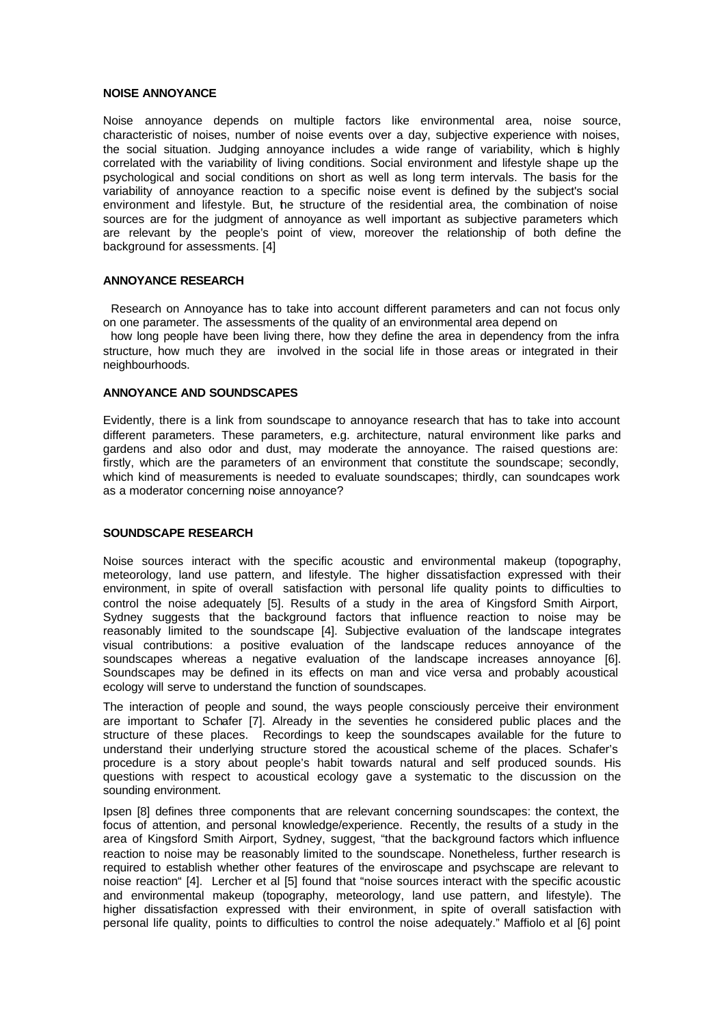#### **NOISE ANNOYANCE**

Noise annoyance depends on multiple factors like environmental area, noise source, characteristic of noises, number of noise events over a day, subjective experience with noises, the social situation. Judging annoyance includes a wide range of variability, which is highly correlated with the variability of living conditions. Social environment and lifestyle shape up the psychological and social conditions on short as well as long term intervals. The basis for the variability of annoyance reaction to a specific noise event is defined by the subject's social environment and lifestyle. But, the structure of the residential area, the combination of noise sources are for the judgment of annoyance as well important as subjective parameters which are relevant by the people's point of view, moreover the relationship of both define the background for assessments. [4]

#### **ANNOYANCE RESEARCH**

 Research on Annoyance has to take into account different parameters and can not focus only on one parameter. The assessments of the quality of an environmental area depend on

 how long people have been living there, how they define the area in dependency from the infra structure, how much they are involved in the social life in those areas or integrated in their neighbourhoods.

## **ANNOYANCE AND SOUNDSCAPES**

Evidently, there is a link from soundscape to annoyance research that has to take into account different parameters. These parameters, e.g. architecture, natural environment like parks and gardens and also odor and dust, may moderate the annoyance. The raised questions are: firstly, which are the parameters of an environment that constitute the soundscape; secondly, which kind of measurements is needed to evaluate soundscapes; thirdly, can soundcapes work as a moderator concerning noise annoyance?

#### **SOUNDSCAPE RESEARCH**

Noise sources interact with the specific acoustic and environmental makeup (topography, meteorology, land use pattern, and lifestyle. The higher dissatisfaction expressed with their environment, in spite of overall satisfaction with personal life quality points to difficulties to control the noise adequately [5]. Results of a study in the area of Kingsford Smith Airport, Sydney suggests that the background factors that influence reaction to noise may be reasonably limited to the soundscape [4]. Subjective evaluation of the landscape integrates visual contributions: a positive evaluation of the landscape reduces annoyance of the soundscapes whereas a negative evaluation of the landscape increases annoyance [6]. Soundscapes may be defined in its effects on man and vice versa and probably acoustical ecology will serve to understand the function of soundscapes.

The interaction of people and sound, the ways people consciously perceive their environment are important to Schafer [7]. Already in the seventies he considered public places and the structure of these places. Recordings to keep the soundscapes available for the future to understand their underlying structure stored the acoustical scheme of the places. Schafer's procedure is a story about people's habit towards natural and self produced sounds. His questions with respect to acoustical ecology gave a systematic to the discussion on the sounding environment.

Ipsen [8] defines three components that are relevant concerning soundscapes: the context, the focus of attention, and personal knowledge/experience. Recently, the results of a study in the area of Kingsford Smith Airport, Sydney, suggest, "that the background factors which influence reaction to noise may be reasonably limited to the soundscape. Nonetheless, further research is required to establish whether other features of the enviroscape and psychscape are relevant to noise reaction" [4]. Lercher et al [5] found that "noise sources interact with the specific acoustic and environmental makeup (topography, meteorology, land use pattern, and lifestyle). The higher dissatisfaction expressed with their environment, in spite of overall satisfaction with personal life quality, points to difficulties to control the noise adequately." Maffiolo et al [6] point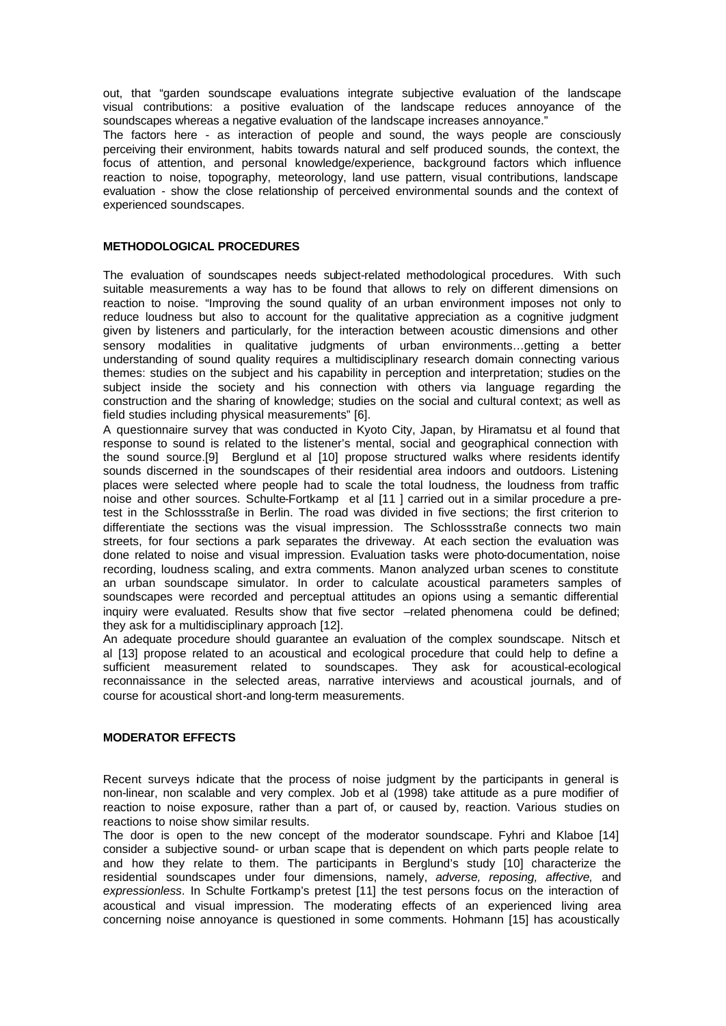out, that "garden soundscape evaluations integrate subjective evaluation of the landscape visual contributions: a positive evaluation of the landscape reduces annoyance of the soundscapes whereas a negative evaluation of the landscape increases annoyance."

The factors here - as interaction of people and sound, the ways people are consciously perceiving their environment, habits towards natural and self produced sounds, the context, the focus of attention, and personal knowledge/experience, background factors which influence reaction to noise, topography, meteorology, land use pattern, visual contributions, landscape evaluation - show the close relationship of perceived environmental sounds and the context of experienced soundscapes.

## **METHODOLOGICAL PROCEDURES**

The evaluation of soundscapes needs subject-related methodological procedures. With such suitable measurements a way has to be found that allows to rely on different dimensions on reaction to noise. "Improving the sound quality of an urban environment imposes not only to reduce loudness but also to account for the qualitative appreciation as a cognitive judgment given by listeners and particularly, for the interaction between acoustic dimensions and other sensory modalities in qualitative judgments of urban environments…getting a better understanding of sound quality requires a multidisciplinary research domain connecting various themes: studies on the subject and his capability in perception and interpretation; studies on the subject inside the society and his connection with others via language regarding the construction and the sharing of knowledge; studies on the social and cultural context; as well as field studies including physical measurements" [6].

A questionnaire survey that was conducted in Kyoto City, Japan, by Hiramatsu et al found that response to sound is related to the listener's mental, social and geographical connection with the sound source.[9] Berglund et al [10] propose structured walks where residents identify sounds discerned in the soundscapes of their residential area indoors and outdoors. Listening places were selected where people had to scale the total loudness, the loudness from traffic noise and other sources. Schulte-Fortkamp et al [11 ] carried out in a similar procedure a pretest in the Schlossstraße in Berlin. The road was divided in five sections; the first criterion to differentiate the sections was the visual impression. The Schlossstraße connects two main streets, for four sections a park separates the driveway. At each section the evaluation was done related to noise and visual impression. Evaluation tasks were photo-documentation, noise recording, loudness scaling, and extra comments. Manon analyzed urban scenes to constitute an urban soundscape simulator. In order to calculate acoustical parameters samples of soundscapes were recorded and perceptual attitudes an opions using a semantic differential inquiry were evaluated. Results show that five sector –related phenomena could be defined; they ask for a multidisciplinary approach [12].

An adequate procedure should guarantee an evaluation of the complex soundscape. Nitsch et al [13] propose related to an acoustical and ecological procedure that could help to define a sufficient measurement related to soundscapes. They ask for acoustical-ecological reconnaissance in the selected areas, narrative interviews and acoustical journals, and of course for acoustical short-and long-term measurements.

### **MODERATOR EFFECTS**

Recent surveys indicate that the process of noise judgment by the participants in general is non-linear, non scalable and very complex. Job et al (1998) take attitude as a pure modifier of reaction to noise exposure, rather than a part of, or caused by, reaction. Various studies on reactions to noise show similar results.

The door is open to the new concept of the moderator soundscape. Fyhri and Klaboe [14] consider a subjective sound- or urban scape that is dependent on which parts people relate to and how they relate to them. The participants in Berglund's study [10] characterize the residential soundscapes under four dimensions, namely, *adverse, reposing, affective,* and *expressionless*. In Schulte Fortkamp's pretest [11] the test persons focus on the interaction of acoustical and visual impression. The moderating effects of an experienced living area concerning noise annoyance is questioned in some comments. Hohmann [15] has acoustically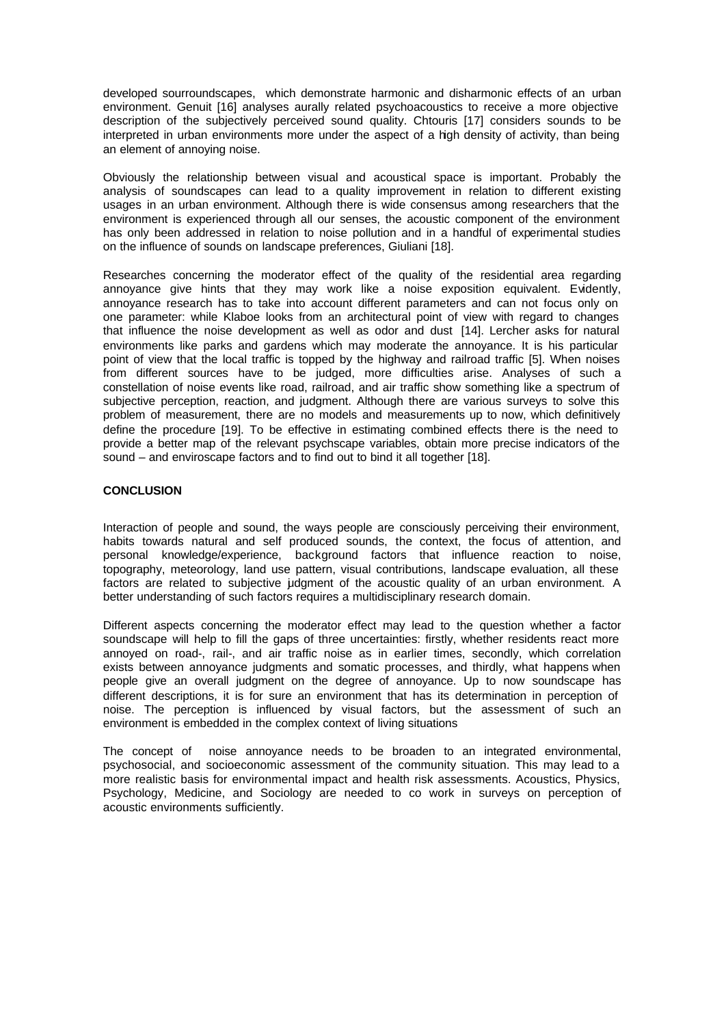developed sourroundscapes, which demonstrate harmonic and disharmonic effects of an urban environment. Genuit [16] analyses aurally related psychoacoustics to receive a more objective description of the subjectively perceived sound quality. Chtouris [17] considers sounds to be interpreted in urban environments more under the aspect of a high density of activity, than being an element of annoying noise.

Obviously the relationship between visual and acoustical space is important. Probably the analysis of soundscapes can lead to a quality improvement in relation to different existing usages in an urban environment. Although there is wide consensus among researchers that the environment is experienced through all our senses, the acoustic component of the environment has only been addressed in relation to noise pollution and in a handful of experimental studies on the influence of sounds on landscape preferences, Giuliani [18].

Researches concerning the moderator effect of the quality of the residential area regarding annoyance give hints that they may work like a noise exposition equivalent. Evidently, annoyance research has to take into account different parameters and can not focus only on one parameter: while Klaboe looks from an architectural point of view with regard to changes that influence the noise development as well as odor and dust [14]. Lercher asks for natural environments like parks and gardens which may moderate the annoyance. It is his particular point of view that the local traffic is topped by the highway and railroad traffic [5]. When noises from different sources have to be judged, more difficulties arise. Analyses of such a constellation of noise events like road, railroad, and air traffic show something like a spectrum of subjective perception, reaction, and judgment. Although there are various surveys to solve this problem of measurement, there are no models and measurements up to now, which definitively define the procedure [19]. To be effective in estimating combined effects there is the need to provide a better map of the relevant psychscape variables, obtain more precise indicators of the sound – and enviroscape factors and to find out to bind it all together [18].

## **CONCLUSION**

Interaction of people and sound, the ways people are consciously perceiving their environment, habits towards natural and self produced sounds, the context, the focus of attention, and personal knowledge/experience, background factors that influence reaction to noise, topography, meteorology, land use pattern, visual contributions, landscape evaluation, all these factors are related to subjective judgment of the acoustic quality of an urban environment. A better understanding of such factors requires a multidisciplinary research domain.

Different aspects concerning the moderator effect may lead to the question whether a factor soundscape will help to fill the gaps of three uncertainties: firstly, whether residents react more annoyed on road-, rail-, and air traffic noise as in earlier times, secondly, which correlation exists between annoyance judgments and somatic processes, and thirdly, what happens when people give an overall judgment on the degree of annoyance. Up to now soundscape has different descriptions, it is for sure an environment that has its determination in perception of noise. The perception is influenced by visual factors, but the assessment of such an environment is embedded in the complex context of living situations

The concept of noise annoyance needs to be broaden to an integrated environmental, psychosocial, and socioeconomic assessment of the community situation. This may lead to a more realistic basis for environmental impact and health risk assessments. Acoustics, Physics, Psychology, Medicine, and Sociology are needed to co work in surveys on perception of acoustic environments sufficiently.